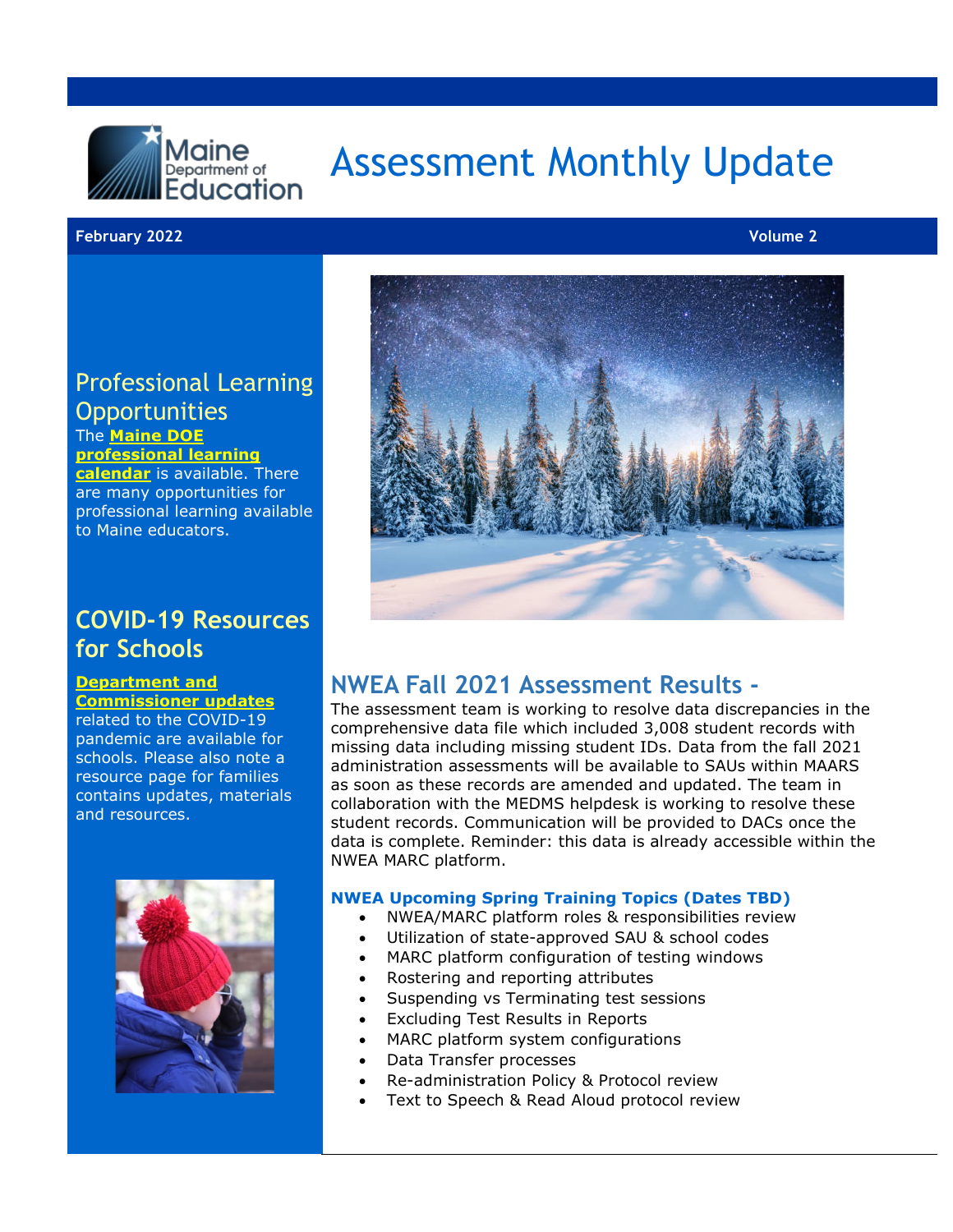

# Assessment Monthly Update

#### **February 2022 Volume 2**

#### Professional Learning **Opportunities** The **[Maine DOE](https://www.maine.gov/doe/calendar)  [professional learning](https://www.maine.gov/doe/calendar)**

**[calendar](https://www.maine.gov/doe/calendar)** is available. There are many opportunities for professional learning available to Maine educators.

### **COVID-19 Resources for Schools**

#### **[Department and](https://www.maine.gov/doe/covid-19/toolkit)  [Commissioner updates](https://www.maine.gov/doe/covid-19/toolkit)**

related to the COVID-19 pandemic are available for schools. Please also note a resource page for families contains updates, materials and resources.





### **NWEA Fall 2021 Assessment Results -**

The assessment team is working to resolve data discrepancies in the comprehensive data file which included 3,008 student records with missing data including missing student IDs. Data from the fall 2021 administration assessments will be available to SAUs within MAARS as soon as these records are amended and updated. The team in collaboration with the MEDMS helpdesk is working to resolve these student records. Communication will be provided to DACs once the data is complete. Reminder: this data is already accessible within the NWEA MARC platform.

#### **NWEA Upcoming Spring Training Topics (Dates TBD)**

- NWEA/MARC platform roles & responsibilities review
- Utilization of state-approved SAU & school codes
- MARC platform configuration of testing windows
- Rostering and reporting attributes
- Suspending vs Terminating test sessions
- Excluding Test Results in Reports
- MARC platform system configurations
- Data Transfer processes
- Re-administration Policy & Protocol review
- Text to Speech & Read Aloud protocol review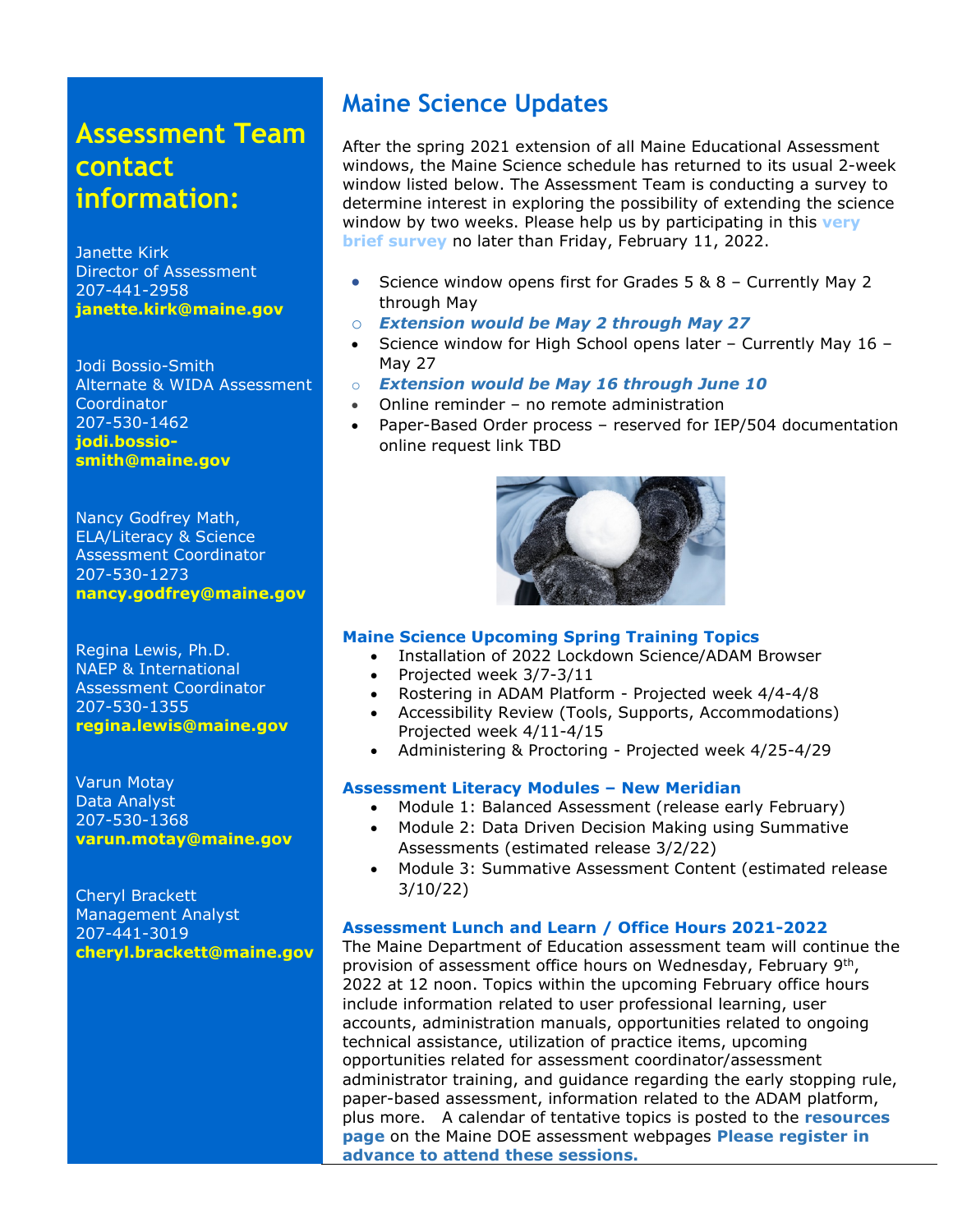## **Assessment Team contact information:**

Janette Kirk Director of Assessment 207-441-2958 **[janette.kirk@maine.gov](mailto:janette.kirk@maine.gov)**

Jodi Bossio-Smith Alternate & WIDA Assessment **Coordinator** 207-530-1462 **[jodi.bossio](mailto:jodi.bossio-smith@maine.gov)[smith@maine.gov](mailto:jodi.bossio-smith@maine.gov)**

Nancy Godfrey Math, ELA/Literacy & Science Assessment Coordinator 207-530-1273 **[nancy.godfrey@maine.gov](mailto:nancy.godfrey@maine.gov)**

Regina Lewis, Ph.D. NAEP & International Assessment Coordinator 207-530-1355 **[regina.lewis@maine.gov](mailto:regina.lewis@maine.gov)**

Varun Motay Data Analyst 207-530-1368 **[varun.motay@maine.gov](mailto:varun.motay@maine.gov)**

Cheryl Brackett Management Analyst 207-441-3019 **[cheryl.brackett@maine.gov](mailto:cheryl.brackett@maine.gov)**

### **Maine Science Updates**

After the spring 2021 extension of all Maine Educational Assessment windows, the Maine Science schedule has returned to its usual 2-week window listed below. The Assessment Team is conducting a survey to determine interest in exploring the possibility of extending the science window by two weeks. Please help us by participating in this **[very](https://mainedoe.co1.qualtrics.com/jfe/form/SV_4HZF8BPqxfZSuFM)  [brief survey](https://mainedoe.co1.qualtrics.com/jfe/form/SV_4HZF8BPqxfZSuFM)** no later than Friday, February 11, 2022.

- Science window opens first for Grades 5 & 8 Currently May 2 through May
- o *Extension would be May 2 through May 27*
- Science window for High School opens later Currently May 16 May 27
- o *Extension would be May 16 through June 10*
- Online reminder no remote administration
- Paper-Based Order process reserved for IEP/504 documentation online request link TBD



#### **Maine Science Upcoming Spring Training Topics**

- Installation of 2022 Lockdown Science/ADAM Browser
- Projected week 3/7-3/11
- Rostering in ADAM Platform Projected week 4/4-4/8
- Accessibility Review (Tools, Supports, Accommodations) Projected week 4/11-4/15
- Administering & Proctoring Projected week 4/25-4/29

#### **Assessment Literacy Modules – New Meridian**

- Module 1: Balanced Assessment (release early February)
- Module 2: Data Driven Decision Making using Summative Assessments (estimated release 3/2/22)
- Module 3: Summative Assessment Content (estimated release 3/10/22)

#### **Assessment Lunch and Learn / Office Hours 2021-2022**

The Maine Department of Education assessment team will continue the provision of assessment office hours on Wednesday, February 9<sup>th</sup>, 2022 at 12 noon. Topics within the upcoming February office hours include information related to user professional learning, user accounts, administration manuals, opportunities related to ongoing technical assistance, utilization of practice items, upcoming opportunities related for assessment coordinator/assessment administrator training, and guidance regarding the early stopping rule, paper-based assessment, information related to the ADAM platform, plus more. A calendar of tentative topics is posted to the **[resources](https://www.maine.gov/doe/Testing_Accountability/MECAS/supports)  [page](https://www.maine.gov/doe/Testing_Accountability/MECAS/supports)** on the Maine DOE assessment webpages **[Please register in](https://networkmaine.zoom.us/meeting/register/tZIucuirrz0tGtT4YUZDjXPbAEDZ-IaOCvlU)  [advance to attend these sessions.](https://networkmaine.zoom.us/meeting/register/tZIucuirrz0tGtT4YUZDjXPbAEDZ-IaOCvlU)**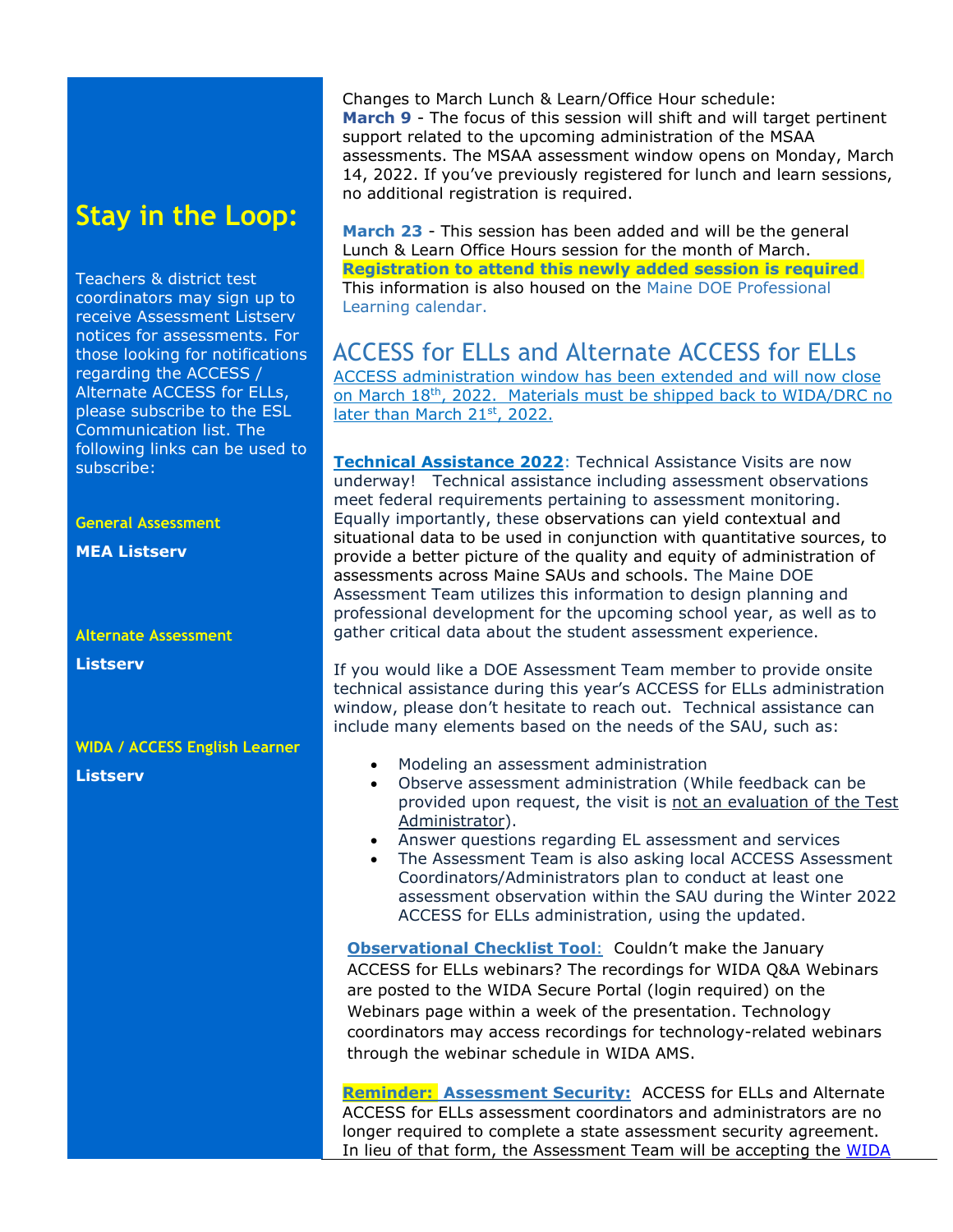### **Stay in the Loop:**

Teachers & district test coordinators may sign up to receive Assessment Listserv notices for assessments. For those looking for notifications regarding the ACCESS / Alternate ACCESS for ELLs, please subscribe to the ESL Communication list. The following links can be used to subscribe:

#### **General Assessment**

**MEA Listserv** 

**Alternate Assessment Listserv** 

#### **WIDA / ACCESS English Learner**

**Listserv**

Changes to March Lunch & Learn/Office Hour schedule: **March 9** - The focus of this session will shift and will target pertinent support related to the upcoming administration of the MSAA assessments. The MSAA assessment window opens on Monday, March 14, 2022. If you've previously registered for lunch and learn sessions, no additional registration is required.

**March 23** - This session has been added and will be the general Lunch & Learn Office Hours session for the month of March. **[Registration to attend this newly added session is required](https://networkmaine.zoom.us/meeting/register/tZ0ucuyvrzkiHtWyVjSFHeUqY4Qpba1OZBEv)**. This information is also housed on the [Maine DOE Professional](https://www.maine.gov/doe/calendar)  [Learning calendar.](https://www.maine.gov/doe/calendar) 

### ACCESS for ELLs and Alternate ACCESS for ELLs

ACCESS administration window has been extended and will now close on March 18<sup>th</sup>, 2022. Materials must be shipped back to WIDA/DRC no later than March 21st, 2022.

**Technical Assistance 2022**: Technical Assistance Visits are now underway! Technical assistance including assessment observations meet federal requirements pertaining to assessment monitoring. Equally importantly, these observations can yield contextual and situational data to be used in conjunction with quantitative sources, to provide a better picture of the quality and equity of administration of assessments across Maine SAUs and schools. The Maine DOE Assessment Team utilizes this information to design planning and professional development for the upcoming school year, as well as to gather critical data about the student assessment experience.

If you would like a DOE Assessment Team member to provide onsite technical assistance during this year's ACCESS for ELLs administration window, please don't hesitate to reach out. Technical assistance can include many elements based on the needs of the SAU, such as:

- Modeling an assessment administration
- Observe assessment administration (While feedback can be provided upon request, the visit is not an evaluation of the Test Administrator).
- Answer questions regarding EL assessment and services
- The Assessment Team is also asking local ACCESS Assessment Coordinators/Administrators plan to conduct at least one assessment observation within the SAU during the Winter 2022 ACCESS for ELLs administration, using the updated.

**[Observational Checklist Tool](https://mainedoe.co1.qualtrics.com/jfe/form/SV_aYnbcibY9eJtcPA):** Couldn't make the January ACCESS for ELLs webinars? The recordings for WIDA Q&A Webinars are posted to the WIDA Secure Portal (login required) on the Webinars page within a week of the presentation. Technology coordinators may access recordings for technology-related webinars through the webinar schedule in WIDA AMS.

**Reminder: Assessment Security:** ACCESS for ELLs and Alternate ACCESS for ELLs assessment coordinators and administrators are no longer required to complete a state assessment security agreement. In lieu of that form, the Assessment Team will be accepting the WIDA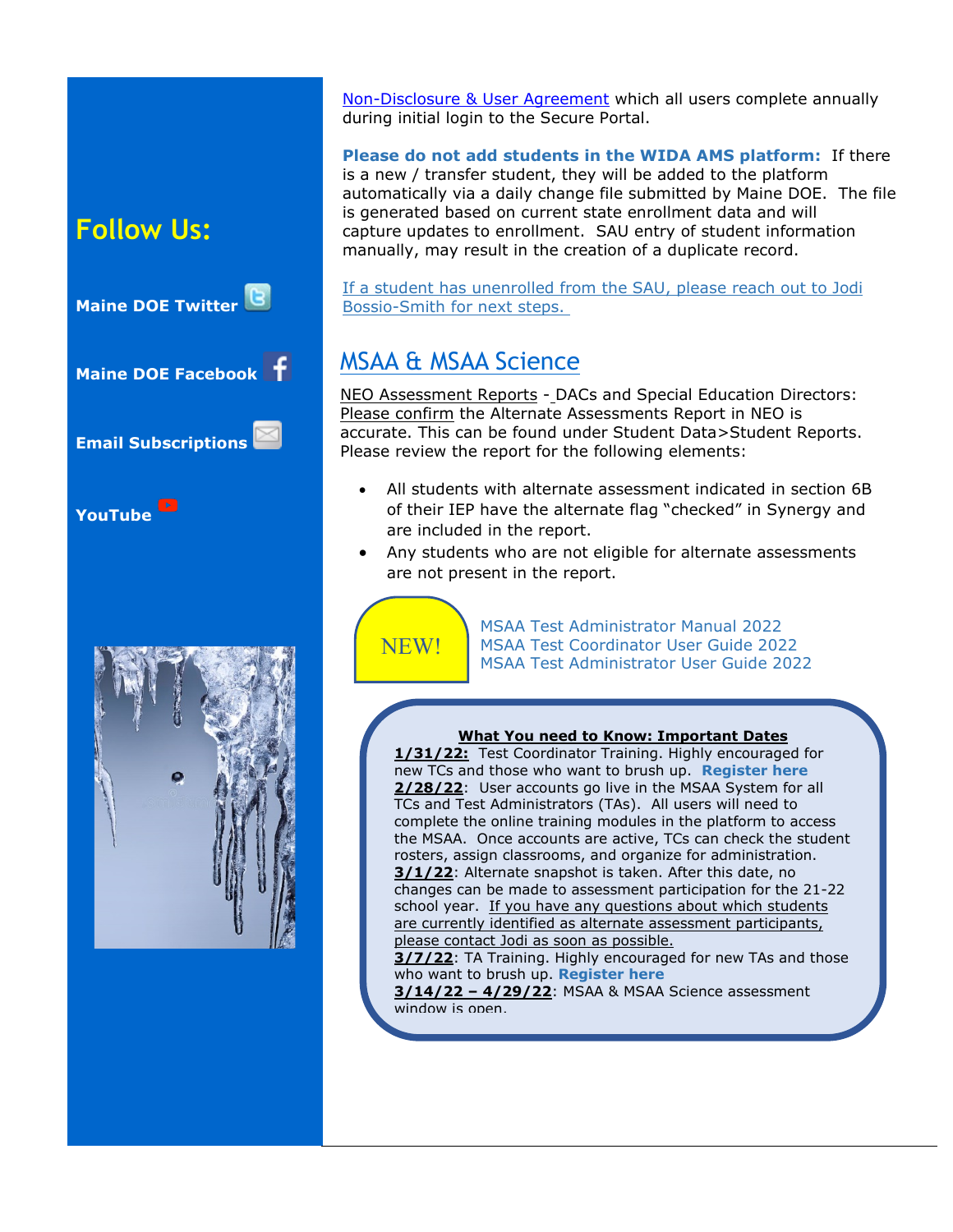### **Follow Us:**







[Non-Disclosure](https://portal.wida.us/ndua) & User Agreement which all users complete annually during initial login to the Secure Portal.

**Please do not add students in the WIDA AMS platform:** If there is a new / transfer student, they will be added to the platform automatically via a daily change file submitted by Maine DOE. The file is generated based on current state enrollment data and will capture updates to enrollment. SAU entry of student information manually, may result in the creation of a duplicate record.

If a student has unenrolled from the SAU, please reach out to Jodi Bossio-Smith for next steps.

### MSAA & MSAA Science

NEO Assessment Reports - DACs and Special Education Directors: Please confirm the Alternate Assessments Report in NEO is accurate. This can be found under Student Data>Student Reports. Please review the report for the following elements:

- All students with alternate assessment indicated in section 6B of their IEP have the alternate flag "checked" in Synergy and are included in the report.
- Any students who are not eligible for alternate assessments are not present in the report.

NEW!

[MSAA Test Administrator Manual 2022](https://www.maine.gov/doe/sites/maine.gov.doe/files/inline-files/MSAA%202022%20TAM.pdf) [MSAA Test Coordinator User Guide 2022](https://www.msaaassessment.org/sites/all/modules/custom/tap_menu_custom_links/pdf/MSAA_2022_TC_System_User_Guide.pdf) [MSAA Test Administrator User Guide 2022](https://www.msaaassessment.org/sites/all/modules/custom/tap_menu_custom_links/pdf/MSAA_2022_TA_System_User_Guide.pdf)

#### **What You need to Know: Important Dates**

**1/31/22:** Test Coordinator Training. Highly encouraged for new TCs and those who want to brush up. **[Register here](https://www.maine.gov/doe/calendar/1-webinar-assessment-coordinator-training) 2/28/22**: User accounts go live in the MSAA System for all TCs and Test Administrators (TAs). All users will need to complete the online training modules in the platform to access the MSAA. Once accounts are active, TCs can check the student rosters, assign classrooms, and organize for administration. **3/1/22**: Alternate snapshot is taken. After this date, no changes can be made to assessment participation for the 21-22 school year. If you have any questions about which students are currently identified as alternate assessment participants, please contact Jodi as soon as possible. **3/7/22**: TA Training. Highly encouraged for new TAs and those who want to brush up. **[Register here](https://www.maine.gov/doe/calendar/1-webinar-assessment-administrator-training)**

**3/14/22 – 4/29/22**: MSAA & MSAA Science assessment window is open.